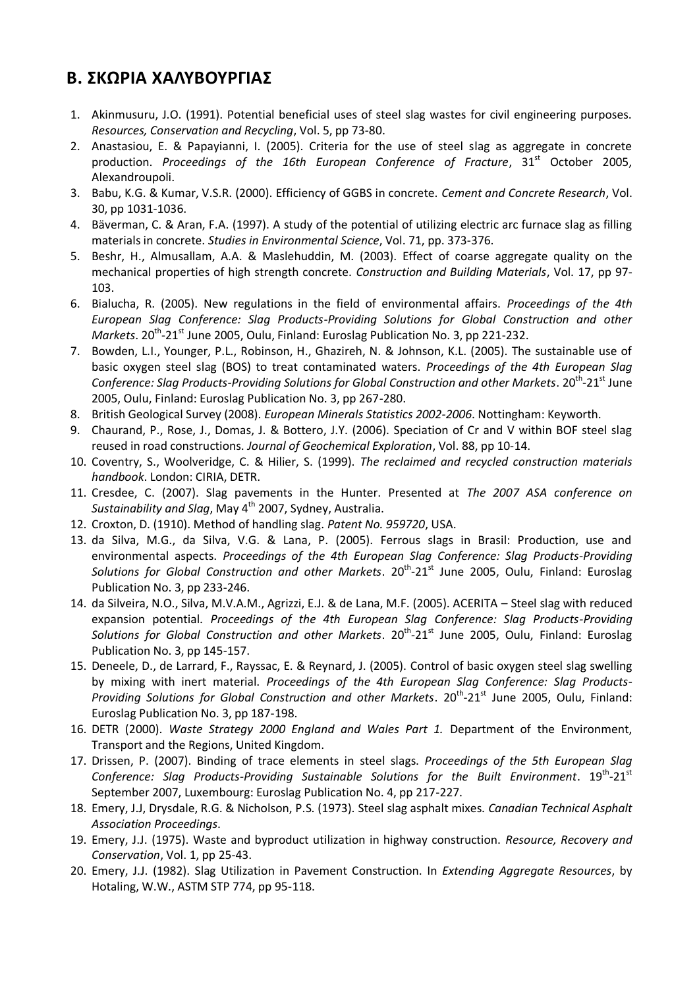## **B. ΣΚΩΡΙΑ ΧΑΛΥΒΟΥΡΓΙΑΣ**

- 1. Akinmusuru, J.O. (1991). Potential beneficial uses of steel slag wastes for civil engineering purposes. *Resources, Conservation and Recycling*, Vol. 5, pp 73-80.
- 2. Anastasiou, E. & Papayianni, I. (2005). Criteria for the use of steel slag as aggregate in concrete production. Proceedings of the 16th European Conference of Fracture, 31<sup>st</sup> October 2005, Alexandroupoli.
- 3. Babu, K.G. & Kumar, V.S.R. (2000). Efficiency of GGBS in concrete. *Cement and Concrete Research*, Vol. 30, pp 1031-1036.
- 4. Bäverman, C. & Aran, F.Α. (1997). A study of the potential of utilizing electric arc furnace slag as filling materials in concrete. *Studies in Environmental Science*, Vol. 71, pp. 373-376.
- 5. Beshr, H., Almusallam, A.A. & Maslehuddin, M. (2003). Effect of coarse aggregate quality on the mechanical properties of high strength concrete. *Construction and Building Materials*, Vol. 17, pp 97- 103.
- 6. Bialucha, R. (2005). New regulations in the field of environmental affairs. *Proceedings of the 4th European Slag Conference: Slag Products-Providing Solutions for Global Construction and other*  Markets. 20<sup>th</sup>-21<sup>st</sup> June 2005, Oulu, Finland: Euroslag Publication No. 3, pp 221-232.
- 7. Bowden, L.I., Younger, P.L., Robinson, H., Ghazireh, N. & Johnson, K.L. (2005). The sustainable use of basic oxygen steel slag (BOS) to treat contaminated waters. *Proceedings of the 4th European Slag*  Conference: Slag Products-Providing Solutions for Global Construction and other Markets. 20<sup>th</sup>-21<sup>st</sup> June 2005, Oulu, Finland: Euroslag Publication No. 3, pp 267-280.
- 8. British Geological Survey (2008). *European Minerals Statistics 2002-2006*. Nottingham: Keyworth.
- 9. Chaurand, P., Rose, J., Domas, J. & Bottero, J.Y. (2006). Speciation of Cr and V within BOF steel slag reused in road constructions. *Journal of Geochemical Exploration*, Vol. 88, pp 10-14.
- 10. Coventry, S., Woolveridge, C. & Hilier, S. (1999). *The reclaimed and recycled construction materials handbook*. London: CIRIA, DETR.
- 11. Cresdee, C. (2007). Slag pavements in the Hunter. Presented at *The 2007 ASA conference on Sustainability and Slag*, May 4<sup>th</sup> 2007, Sydney, Australia.
- 12. Croxton, D. (1910). Method of handling slag. *Patent No. 959720*, USA.
- 13. da Silva, M.G., da Silva, V.G. & Lana, P. (2005). Ferrous slags in Brasil: Production, use and environmental aspects. *Proceedings of the 4th European Slag Conference: Slag Products-Providing*  Solutions for Global Construction and other Markets. 20<sup>th</sup>-21<sup>st</sup> June 2005, Oulu, Finland: Euroslag Publication No. 3, pp 233-246.
- 14. da Silveira, N.O., Silva, M.V.A.M., Agrizzi, E.J. & de Lana, M.F. (2005). ACERITA Steel slag with reduced expansion potential. *Proceedings of the 4th European Slag Conference: Slag Products-Providing*  Solutions for Global Construction and other Markets. 20<sup>th</sup>-21<sup>st</sup> June 2005, Oulu, Finland: Euroslag Publication No. 3, pp 145-157.
- 15. Deneele, D., de Larrard, F., Rayssac, E. & Reynard, J. (2005). Control of basic oxygen steel slag swelling by mixing with inert material. *Proceedings of the 4th European Slag Conference: Slag Products-*Providing Solutions for Global Construction and other Markets. 20<sup>th</sup>-21<sup>st</sup> June 2005, Oulu, Finland: Euroslag Publication No. 3, pp 187-198.
- 16. DETR (2000). *Waste Strategy 2000 England and Wales Part 1.* Department of the Environment, Transport and the Regions, United Kingdom.
- 17. Drissen, P. (2007). Binding of trace elements in steel slags. *Proceedings of the 5th European Slag*  Conference: Slag Products-Providing Sustainable Solutions for the Built Environment. 19<sup>th</sup>-21<sup>st</sup> September 2007, Luxembourg: Euroslag Publication No. 4, pp 217-227.
- 18. Emery, J.J, Drysdale, R.G. & Nicholson, P.S. (1973). Steel slag asphalt mixes. *Canadian Technical Asphalt Association Proceedings*.
- 19. Emery, J.J. (1975). Waste and byproduct utilization in highway construction. *Resource, Recovery and Conservation*, Vol. 1, pp 25-43.
- 20. Emery, J.J. (1982). Slag Utilization in Pavement Construction. In *Extending Aggregate Resources*, by Hotaling, W.W., ASTM STP 774, pp 95-118.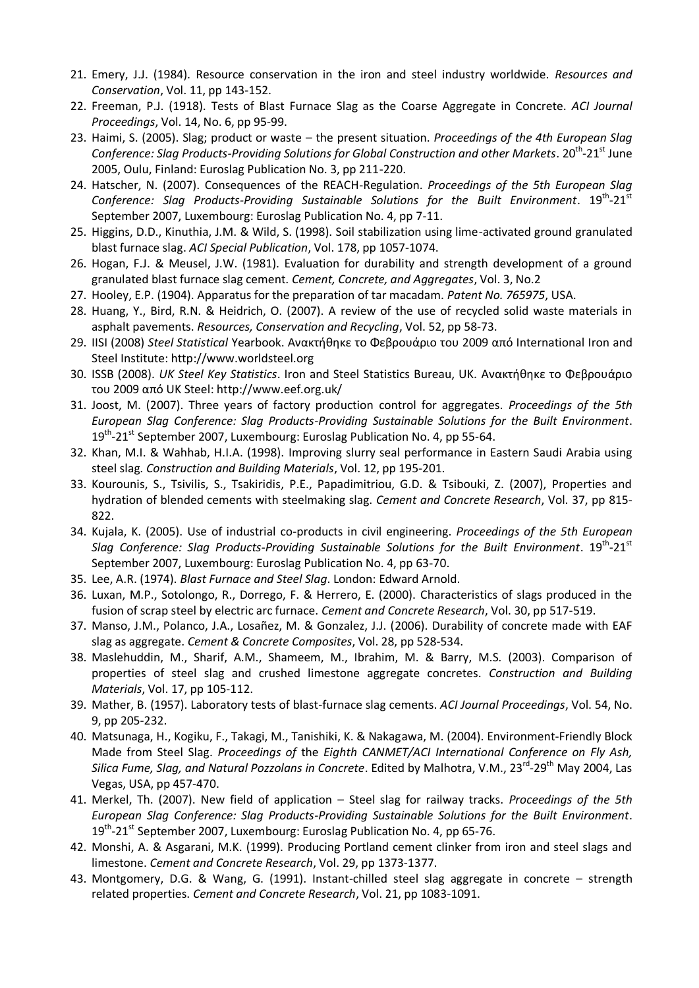- 21. Emery, J.J. (1984). Resource conservation in the iron and steel industry worldwide. *Resources and Conservation*, Vol. 11, pp 143-152.
- 22. Freeman, P.J. (1918). Tests of Blast Furnace Slag as the Coarse Aggregate in Concrete. *ACI Journal Proceedings*, Vol. 14, No. 6, pp 95-99.
- 23. Haimi, S. (2005). Slag; product or waste the present situation. *Proceedings of the 4th European Slag*  Conference: Slag Products-Providing Solutions for Global Construction and other Markets. 20<sup>th</sup>-21<sup>st</sup> June 2005, Oulu, Finland: Euroslag Publication No. 3, pp 211-220.
- 24. Hatscher, N. (2007). Consequences of the REACH-Regulation. *Proceedings of the 5th European Slag*  Conference: Slag Products-Providing Sustainable Solutions for the Built Environment. 19<sup>th</sup>-21<sup>st</sup> September 2007, Luxembourg: Euroslag Publication No. 4, pp 7-11.
- 25. Higgins, D.D., Kinuthia, J.M. & Wild, S. (1998). Soil stabilization using lime-activated ground granulated blast furnace slag. *ACI Special Publication*, Vol. 178, pp 1057-1074.
- 26. Hogan, F.J. & Meusel, J.W. (1981). Evaluation for durability and strength development of a ground granulated blast furnace slag cement. *Cement, Concrete, and Aggregates*, Vol. 3, No.2
- 27. Hooley, E.P. (1904). Apparatus for the preparation of tar macadam. *Patent No. 765975*, USA.
- 28. Huang, Y., Bird, R.N. & Heidrich, O. (2007). A review of the use of recycled solid waste materials in asphalt pavements. *Resources, Conservation and Recycling*, Vol. 52, pp 58-73.
- 29. IISI (2008) *Steel Statistical* Yearbook. Ανακτήθηκε το Φεβρουάριο του 2009 από International Iron and Steel Institute: http://www.worldsteel.org
- 30. ISSB (2008). *UK Steel Key Statistics*. Iron and Steel Statistics Bureau, UK. Ανακτήθηκε το Φεβρουάριο του 2009 από UK Steel: http://www.eef.org.uk/
- 31. Joost, M. (2007). Three years of factory production control for aggregates. *Proceedings of the 5th European Slag Conference: Slag Products-Providing Sustainable Solutions for the Built Environment*. 19<sup>th</sup>-21<sup>st</sup> September 2007, Luxembourg: Euroslag Publication No. 4, pp 55-64.
- 32. Khan, M.I. & Wahhab, H.I.A. (1998). Improving slurry seal performance in Eastern Saudi Arabia using steel slag. *Construction and Building Materials*, Vol. 12, pp 195-201.
- 33. Kourounis, S., Tsivilis, S., Tsakiridis, P.E., Papadimitriou, G.D. & Tsibouki, Z. (2007), Properties and hydration of blended cements with steelmaking slag. *Cement and Concrete Research*, Vol. 37, pp 815- 822.
- 34. Kujala, K. (2005). Use of industrial co-products in civil engineering. *Proceedings of the 5th European*  Slag Conference: Slag Products-Providing Sustainable Solutions for the Built Environment. 19<sup>th</sup>-21<sup>st</sup> September 2007, Luxembourg: Euroslag Publication No. 4, pp 63-70.
- 35. Lee, A.R. (1974). *Blast Furnace and Steel Slag*. London: Edward Arnold.
- 36. Luxan, M.P., Sotolongo, R., Dorrego, F. & Herrero, E. (2000). Characteristics of slags produced in the fusion of scrap steel by electric arc furnace. *Cement and Concrete Research*, Vol. 30, pp 517-519.
- 37. Manso, J.M., Polanco, J.A., Losañez, M. & Gonzalez, J.J. (2006). Durability of concrete made with EAF slag as aggregate. *Cement & Concrete Composites*, Vol. 28, pp 528-534.
- 38. Maslehuddin, M., Sharif, A.M., Shameem, M., Ibrahim, M. & Barry, M.S. (2003). Comparison of properties of steel slag and crushed limestone aggregate concretes. *Construction and Building Materials*, Vol. 17, pp 105-112.
- 39. Mather, B. (1957). Laboratory tests of blast-furnace slag cements. *ACI Journal Proceedings*, Vol. 54, No. 9, pp 205-232.
- 40. Matsunaga, H., Kogiku, F., Takagi, M., Tanishiki, K. & Nakagawa, M. (2004). Environment-Friendly Block Made from Steel Slag. *Proceedings of* the *Eighth CANMET/ACI International Conference on Fly Ash,*  Silica Fume, Slag, and Natural Pozzolans in Concrete. Edited by Malhotra, V.M., 23<sup>rd</sup>-29<sup>th</sup> May 2004, Las Vegas, USA, pp 457-470.
- 41. Merkel, Th. (2007). New field of application Steel slag for railway tracks. *Proceedings of the 5th European Slag Conference: Slag Products-Providing Sustainable Solutions for the Built Environment*. 19<sup>th</sup>-21<sup>st</sup> September 2007, Luxembourg: Euroslag Publication No. 4, pp 65-76.
- 42. Monshi, A. & Asgarani, M.K. (1999). Producing Portland cement clinker from iron and steel slags and limestone. *Cement and Concrete Research*, Vol. 29, pp 1373-1377.
- 43. Montgomery, D.G. & Wang, G. (1991). Instant-chilled steel slag aggregate in concrete strength related properties. *Cement and Concrete Research*, Vol. 21, pp 1083-1091.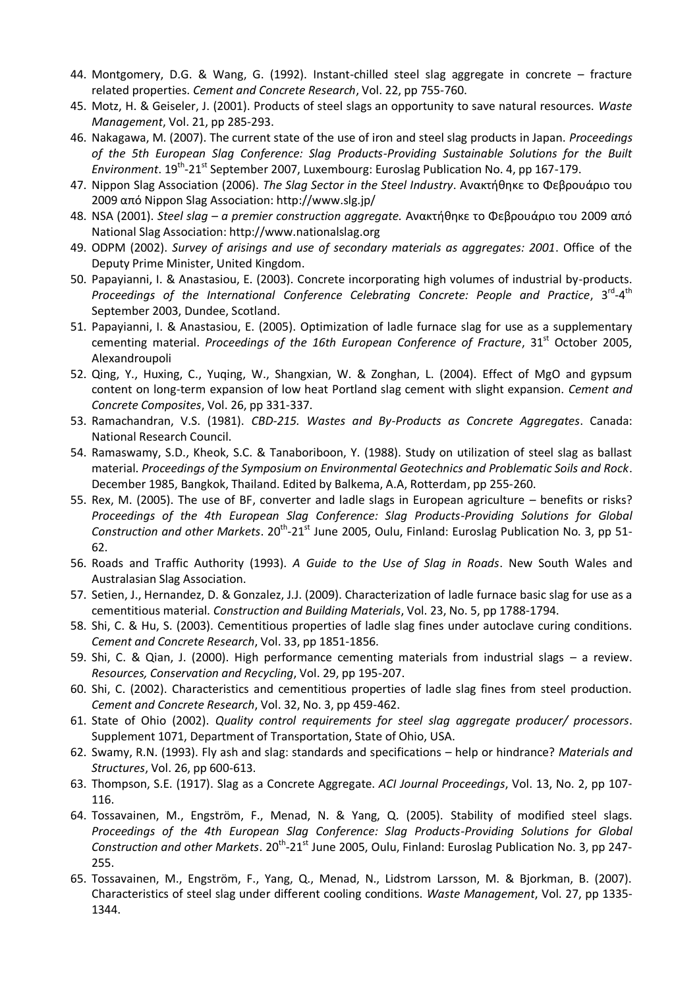- 44. Montgomery, D.G. & Wang, G. (1992). Instant-chilled steel slag aggregate in concrete fracture related properties. *Cement and Concrete Research*, Vol. 22, pp 755-760.
- 45. Motz, H. & Geiseler, J. (2001). Products of steel slags an opportunity to save natural resources. *Waste Management*, Vol. 21, pp 285-293.
- 46. Nakagawa, M. (2007). The current state of the use of iron and steel slag products in Japan. *Proceedings of the 5th European Slag Conference: Slag Products-Providing Sustainable Solutions for the Built*  Environment. 19<sup>th</sup>-21<sup>st</sup> September 2007, Luxembourg: Euroslag Publication No. 4, pp 167-179.
- 47. Nippon Slag Association (2006). *The Slag Sector in the Steel Industry*. Ανακτήθηκε το Φεβρουάριο του 2009 από Nippon Slag Association: http://www.slg.jp/
- 48. NSA (2001). *Steel slag – a premier construction aggregate.* Ανακτήθηκε το Φεβρουάριο του 2009 από National Slag Association: http://www.nationalslag.org
- 49. ODPM (2002). *Survey of arisings and use of secondary materials as aggregates: 2001*. Office of the Deputy Prime Minister, United Kingdom.
- 50. Papayianni, I. & Anastasiou, E. (2003). Concrete incorporating high volumes of industrial by-products. Proceedings of the International Conference Celebrating Concrete: People and Practice, 3<sup>rd</sup>-4<sup>th</sup> September 2003, Dundee, Scotland.
- 51. Papayianni, I. & Anastasiou, E. (2005). Optimization of ladle furnace slag for use as a supplementary cementing material. *Proceedings of the 16th European Conference of Fracture*, 31<sup>st</sup> October 2005, Alexandroupoli
- 52. Qing, Y., Huxing, C., Yuqing, W., Shangxian, W. & Zonghan, L. (2004). Effect of MgO and gypsum content on long-term expansion of low heat Portland slag cement with slight expansion. *Cement and Concrete Composites*, Vol. 26, pp 331-337.
- 53. Ramachandran, V.S. (1981). *CBD-215. Wastes and By-Products as Concrete Aggregates*. Canada: National Research Council.
- 54. Ramaswamy, S.D., Kheok, S.C. & Tanaboriboon, Y. (1988). Study on utilization of steel slag as ballast material. *Proceedings of the Symposium on Environmental Geotechnics and Problematic Soils and Rock*. December 1985, Bangkok, Thailand. Edited by Balkema, A.A, Rotterdam, pp 255-260.
- 55. Rex, M. (2005). The use of BF, converter and ladle slags in European agriculture benefits or risks? *Proceedings of the 4th European Slag Conference: Slag Products-Providing Solutions for Global*  Construction and other Markets. 20<sup>th</sup>-21<sup>st</sup> June 2005, Oulu, Finland: Euroslag Publication No. 3, pp 51-62.
- 56. Roads and Traffic Authority (1993). *A Guide to the Use of Slag in Roads*. New South Wales and Australasian Slag Association.
- 57. Setien, J., Hernandez, D. & Gonzalez, J.J. (2009). Characterization of ladle furnace basic slag for use as a cementitious material. *Construction and Building Materials*, Vol. 23, No. 5, pp 1788-1794.
- 58. Shi, C. & Hu, S. (2003). Cementitious properties of ladle slag fines under autoclave curing conditions. *Cement and Concrete Research*, Vol. 33, pp 1851-1856.
- 59. Shi, C. & Qian, J. (2000). High performance cementing materials from industrial slags a review. *Resources, Conservation and Recycling*, Vol. 29, pp 195-207.
- 60. Shi, C. (2002). Characteristics and cementitious properties of ladle slag fines from steel production. *Cement and Concrete Research*, Vol. 32, No. 3, pp 459-462.
- 61. State of Ohio (2002). *Quality control requirements for steel slag aggregate producer/ processors*. Supplement 1071, Department of Transportation, State of Ohio, USA.
- 62. Swamy, R.N. (1993). Fly ash and slag: standards and specifications help or hindrance? *Materials and Structures*, Vol. 26, pp 600-613.
- 63. Thompson, S.E. (1917). Slag as a Concrete Aggregate. *ACI Journal Proceedings*, Vol. 13, No. 2, pp 107- 116.
- 64. Tossavainen, M., Engström, F., Menad, N. & Yang, Q. (2005). Stability of modified steel slags. *Proceedings of the 4th European Slag Conference: Slag Products-Providing Solutions for Global*  Construction and other Markets. 20<sup>th</sup>-21<sup>st</sup> June 2005, Oulu, Finland: Euroslag Publication No. 3, pp 247-255.
- 65. Tossavainen, M., Engström, F., Yang, Q., Menad, N., Lidstrom Larsson, M. & Bjorkman, B. (2007). Characteristics of steel slag under different cooling conditions. *Waste Management*, Vol. 27, pp 1335- 1344.